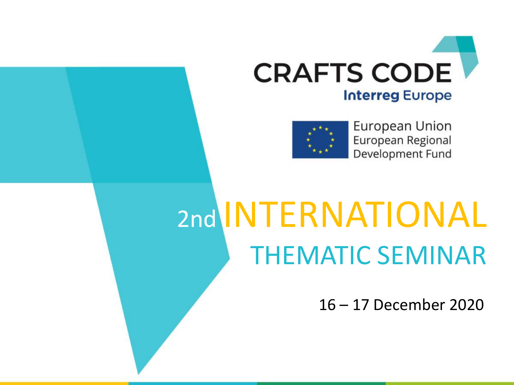



European Union European Regional Development Fund

# 2nd INTERNATIONAL THEMATIC SEMINAR

16 – 17 December 2020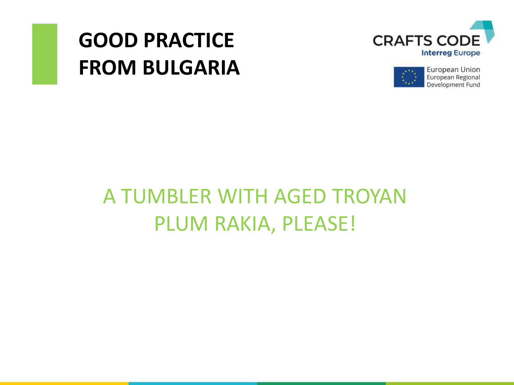## **GOOD PRACTICE FROM BULGARIA**





### A TUMBLER WITH AGED TROYAN PLUM RAKIA, PLEASE!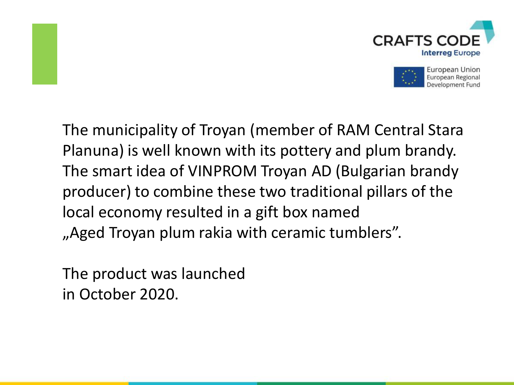



The municipality of Troyan (member of RAM Central Stara Planuna) is well known with its pottery and plum brandy. The smart idea of VINPROM Troyan AD (Bulgarian brandy producer) to combine these two traditional pillars of the local economy resulted in a gift box named "Aged Troyan plum rakia with ceramic tumblers".

The product was launched in October 2020.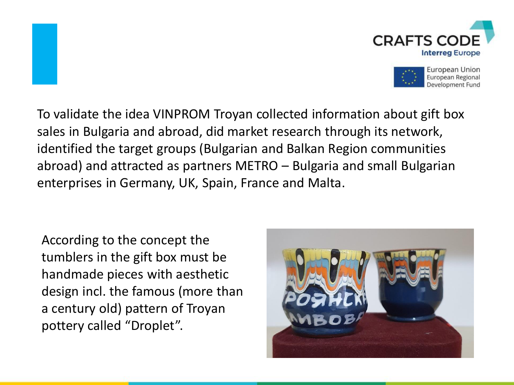



To validate the idea VINPROM Troyan collected information about gift box sales in Bulgaria and abroad, did market research through its network, identified the target groups (Bulgarian and Balkan Region communities abroad) and attracted as partners METRO – Bulgaria and small Bulgarian enterprises in Germany, UK, Spain, France and Malta.

According to the concept the tumblers in the gift box must be handmade pieces with aesthetic design incl. the famous (more than a century old) pattern of Troyan pottery called "Droplet".

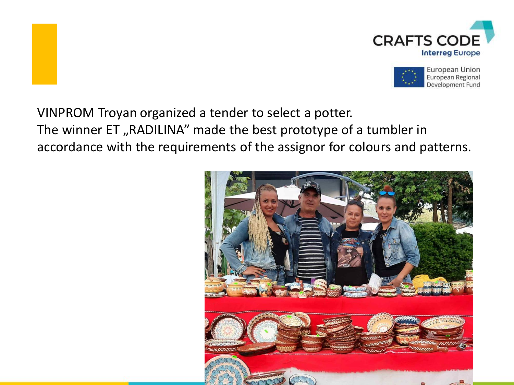



VINPROM Troyan organized a tender to select a potter. The winner ET, RADILINA" made the best prototype of a tumbler in accordance with the requirements of the assignor for colours and patterns.

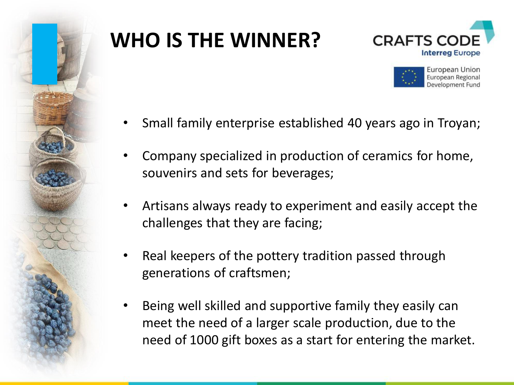

## **WHO IS THE WINNER?**





- Small family enterprise established 40 years ago in Troyan;
- Company specialized in production of ceramics for home, souvenirs and sets for beverages;
- Artisans always ready to experiment and easily accept the challenges that they are facing;
- Real keepers of the pottery tradition passed through generations of craftsmen;
- Being well skilled and supportive family they easily can meet the need of a larger scale production, due to the need of 1000 gift boxes as a start for entering the market.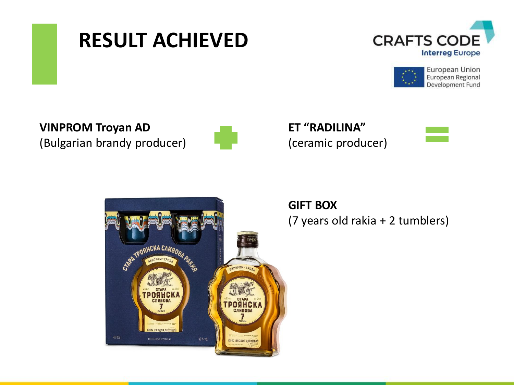





**VINPROM Troyan AD**  (Bulgarian brandy producer)



**ET "RADILINA"** (ceramic producer)



**GIFT BOX** (7 years old rakia + 2 tumblers)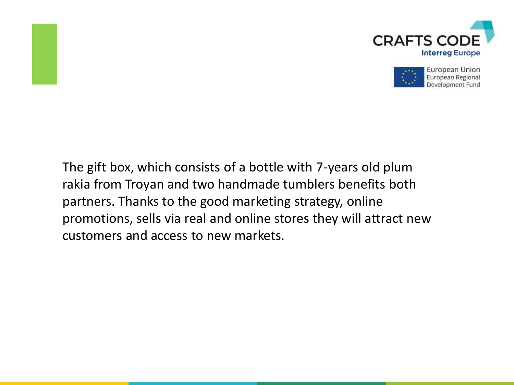



The gift box, which consists of a bottle with 7-years old plum rakia from Troyan and two handmade tumblers benefits both partners. Thanks to the good marketing strategy, online promotions, sells via real and online stores they will attract new customers and access to new markets.